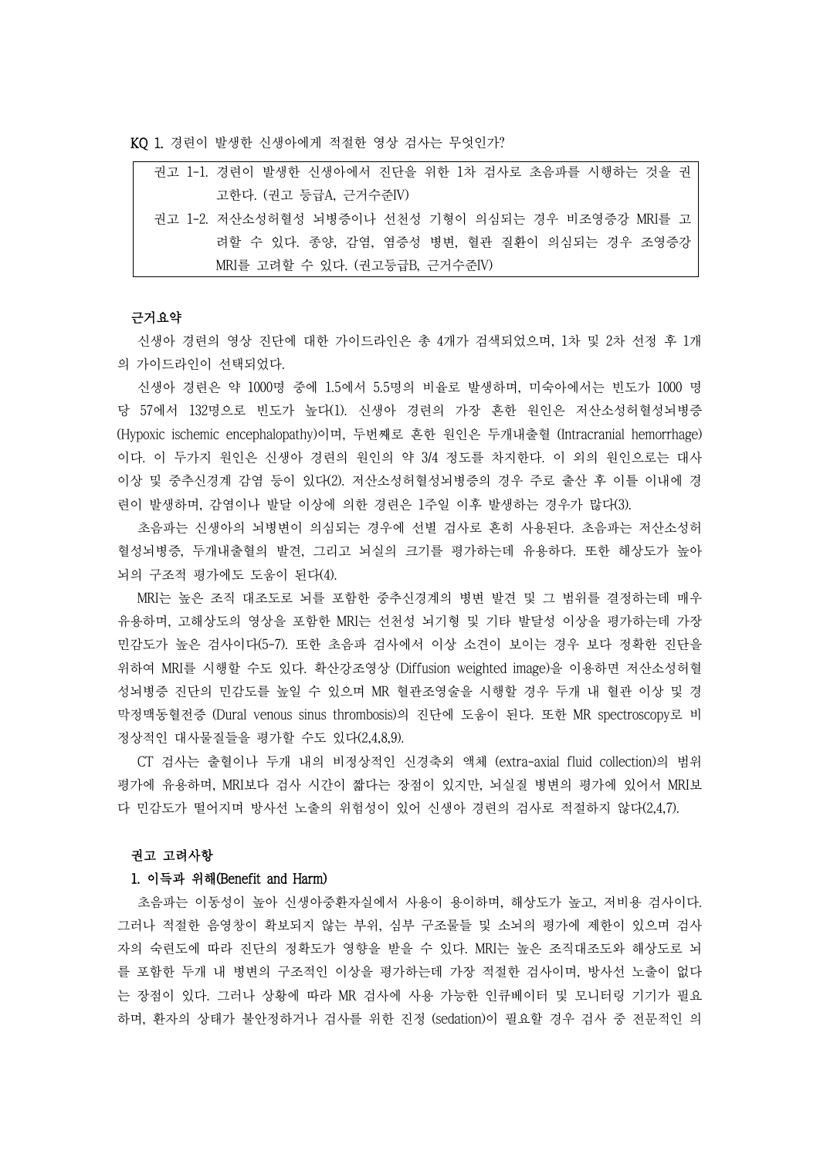KQ 1. 경련이 발생한 신생아에게 적절한 영상 검사는 무엇인가?

| 권고 1-1. 경련이 발생한 신생아에서 진단을 위한 1차 검사로 초음파를 시행하는 것을 권 |
|----------------------------------------------------|
| 고한다. (권고 등급A, 근거수준IV)                              |
| 권고 1-2. 저산소성허혈성 뇌병증이나 선천성 기형이 의심되는 경우 비조영증강 MRI를 고 |
| 려할 수 있다. 종양, 감염, 염증성 병변, 혈관 질환이 의심되는 경우 조영증강       |
| MRI를 고려할 수 있다. (권고등급B, 근거수준IV)                     |

### 근거요약

신생아 경련의 영상 진단에 대한 가이드라인은 총 4개가 검색되었으며, 1차 및 2차 선정 후 1개 의 가이드라인이 선택되었다.<br>-<br>신생아 경련은 약 1000명 중에 1.5에서 5.5명의 비율로 발생하며, 미숙아에서는 빈도가 1000 명

당 57에서 132명으로 빈도가 높다(1). 신생아 경련의 가장 흔한 원인은 저산소성허혈성뇌병증 (Hypoxic ischemic encephalopathy)이며, 두번째로 흔한 원인은 두개내출혈 (Intracranial hemorrhage) 이다. 이 두가지 원인은 신생아 경련의 원인의 약 3/4 정도를 차지한다. 이 외의 원인으로는 대사 이상 및 중추신경계 감염 등이 있다(2). 저산소성허혈성뇌병증의 경우 주로 출산 후 이틀 이내에 경

련이 발생하며, 감염이나 발달 이상에 의한 경련은 1주일 이후 발생하는 경우가 많다(3).<br>-<br>초음파는 신생아의 뇌병변이 의심되는 경우에 선별 검사로 흔히 사용된다. 초음파는 저산소성허 혈성뇌병증, 두개내출혈의 발견, 그리고 뇌실의 크기를 평가하는데 유용하다. 또한 해상도가 높아 뇌의 구조적 평가에도 도움이 된다(4).

MRI는 높은 조직 대조도로 뇌를 포함한 중추신경계의 병변 발견 및 그 범위를 결정하는데 매우 유용하며, 고해상도의 영상을 포함한 MRI는 선천성 뇌기형 및 기타 발달성 이상을 평가하는데 가장 민감도가 높은 검사이다(5-7). 또한 초음파 검사에서 이상 소견이 보이는 경우 보다 정확한 진단을 위하여 MRI를 시행할 수도 있다. 확산강조영상 (Diffusion weighted image)을 이용하면 저산소성허혈 성뇌병증 진단의 민감도를 높일 수 있으며 MR 혈관조영술을 시행할 경우 두개 내 혈관 이상 및 경 막정맥동혈전증 (Dural venous sinus thrombosis)의 진단에 도움이 된다. 또한 MR spectroscopy로 비 정상적인 대사물질들을 평가할 수도 있다(2,4,8,9). CT 검사는 출혈이나 두개 내의 비정상적인 신경축외 액체 (extra-axial fluid collection)의 범위

평가에 유용하며, MRI보다 검사 시간이 짧다는 장점이 있지만, 뇌실질 병변의 평가에 있어서 MRI보 다 민감도가 떨어지며 방사선 노출의 위험성이 있어 신생아 경련의 검사로 적절하지 않다(2,4,7).<br>-<br>**권고 고려사항** 

# 1. 이득과 위해(Benefit and Harm)

초음파는 이동성이 높아 신생아중환자실에서 사용이 용이하며, 해상도가 높고, 저비용 검사이다. 그러나 적절한 음영창이 확보되지 않는 부위, 심부 구조물들 및 소뇌의 평가에 제한이 있으며 검사 자의 숙련도에 따라 진단의 정확도가 영향을 받을 수 있다. MRI는 높은 조직대조도와 해상도로 뇌 를 포함한 두개 내 병변의 구조적인 이상을 평가하는데 가장 적절한 검사이며, 방사선 노출이 없다 는 장점이 있다. 그러나 상황에 따라 MR 검사에 사용 가능한 인큐베이터 및 모니터링 기기가 필요 하며, 환자의 상태가 불안정하거나 검사를 위한 진정 (sedation)이 필요할 경우 검사 중 전문적인 의